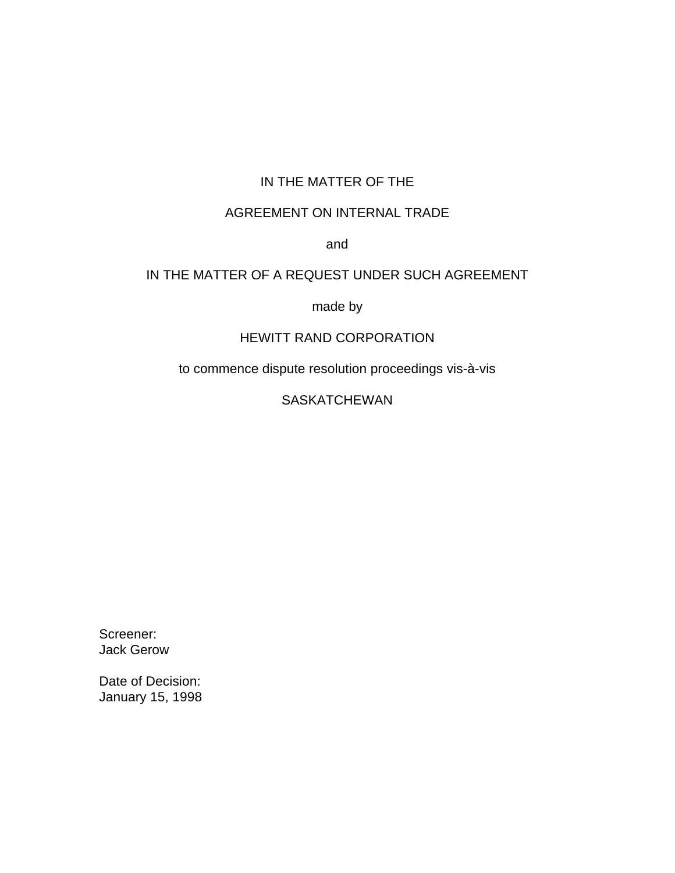## IN THE MATTER OF THE

## AGREEMENT ON INTERNAL TRADE

and

## IN THE MATTER OF A REQUEST UNDER SUCH AGREEMENT

made by

## HEWITT RAND CORPORATION

to commence dispute resolution proceedings vis-à-vis

SASKATCHEWAN

Screener: Jack Gerow

Date of Decision: January 15, 1998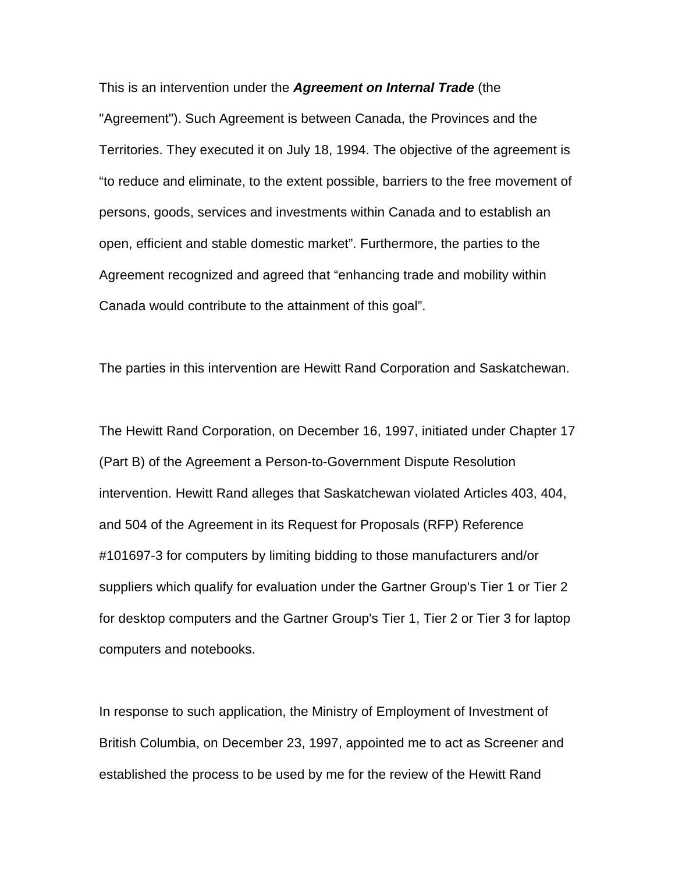This is an intervention under the *Agreement on Internal Trade* (the

"Agreement"). Such Agreement is between Canada, the Provinces and the Territories. They executed it on July 18, 1994. The objective of the agreement is "to reduce and eliminate, to the extent possible, barriers to the free movement of persons, goods, services and investments within Canada and to establish an open, efficient and stable domestic market". Furthermore, the parties to the Agreement recognized and agreed that "enhancing trade and mobility within Canada would contribute to the attainment of this goal".

The parties in this intervention are Hewitt Rand Corporation and Saskatchewan.

The Hewitt Rand Corporation, on December 16, 1997, initiated under Chapter 17 (Part B) of the Agreement a Person-to-Government Dispute Resolution intervention. Hewitt Rand alleges that Saskatchewan violated Articles 403, 404, and 504 of the Agreement in its Request for Proposals (RFP) Reference #101697-3 for computers by limiting bidding to those manufacturers and/or suppliers which qualify for evaluation under the Gartner Group's Tier 1 or Tier 2 for desktop computers and the Gartner Group's Tier 1, Tier 2 or Tier 3 for laptop computers and notebooks.

In response to such application, the Ministry of Employment of Investment of British Columbia, on December 23, 1997, appointed me to act as Screener and established the process to be used by me for the review of the Hewitt Rand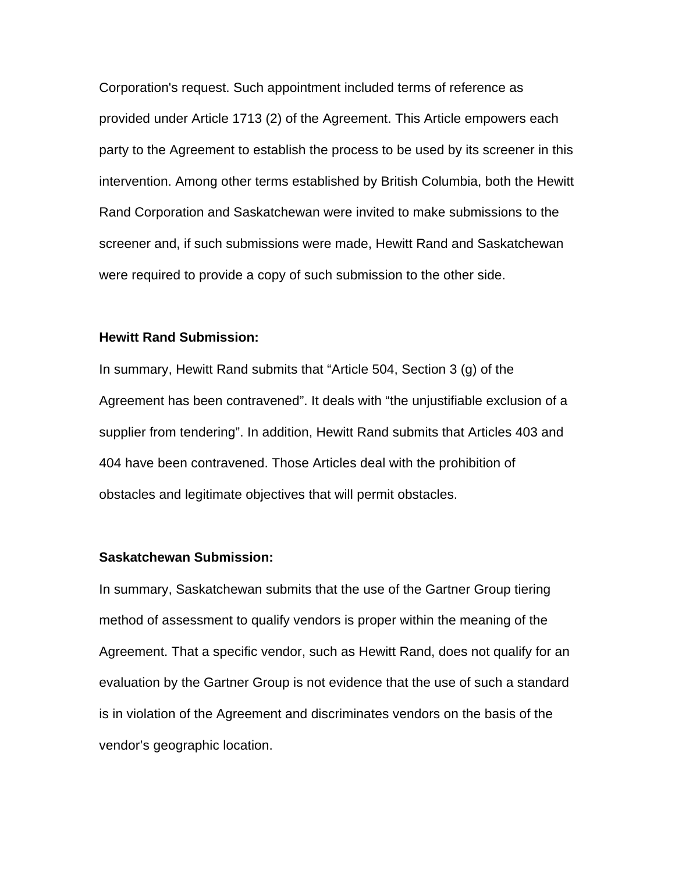Corporation's request. Such appointment included terms of reference as provided under Article 1713 (2) of the Agreement. This Article empowers each party to the Agreement to establish the process to be used by its screener in this intervention. Among other terms established by British Columbia, both the Hewitt Rand Corporation and Saskatchewan were invited to make submissions to the screener and, if such submissions were made, Hewitt Rand and Saskatchewan were required to provide a copy of such submission to the other side.

#### **Hewitt Rand Submission:**

In summary, Hewitt Rand submits that "Article 504, Section 3 (g) of the Agreement has been contravened". It deals with "the unjustifiable exclusion of a supplier from tendering". In addition, Hewitt Rand submits that Articles 403 and 404 have been contravened. Those Articles deal with the prohibition of obstacles and legitimate objectives that will permit obstacles.

#### **Saskatchewan Submission:**

In summary, Saskatchewan submits that the use of the Gartner Group tiering method of assessment to qualify vendors is proper within the meaning of the Agreement. That a specific vendor, such as Hewitt Rand, does not qualify for an evaluation by the Gartner Group is not evidence that the use of such a standard is in violation of the Agreement and discriminates vendors on the basis of the vendor's geographic location.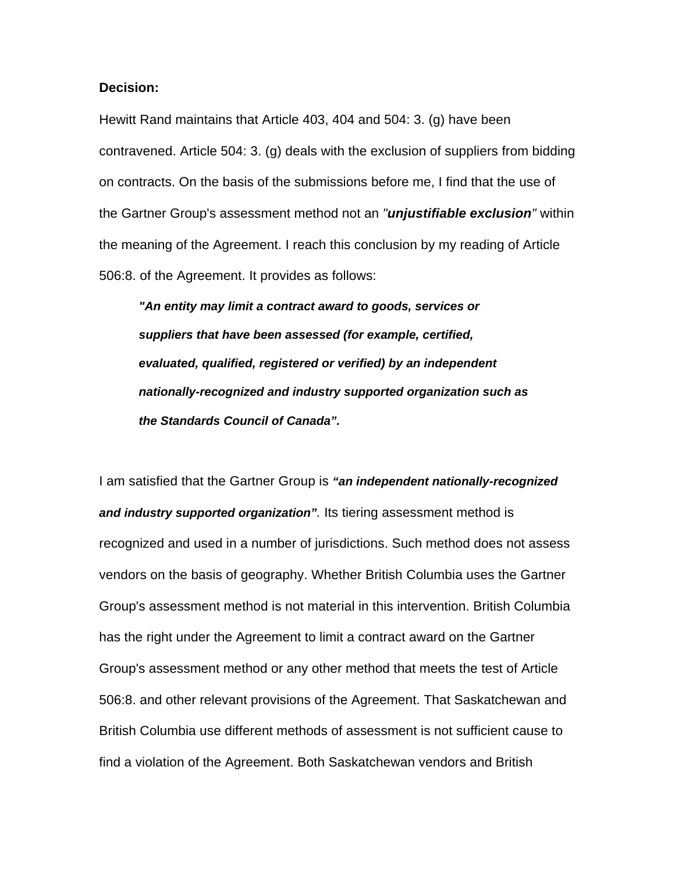### **Decision:**

Hewitt Rand maintains that Article 403, 404 and 504: 3. (g) have been contravened. Article 504: 3. (g) deals with the exclusion of suppliers from bidding on contracts. On the basis of the submissions before me, I find that the use of the Gartner Group's assessment method not an *"unjustifiable exclusion"* within the meaning of the Agreement. I reach this conclusion by my reading of Article 506:8. of the Agreement. It provides as follows:

*"An entity may limit a contract award to goods, services or suppliers that have been assessed (for example, certified, evaluated, qualified, registered or verified) by an independent nationally-recognized and industry supported organization such as the Standards Council of Canada".*

I am satisfied that the Gartner Group is *"an independent nationally-recognized and industry supported organization".* Its tiering assessment method is recognized and used in a number of jurisdictions. Such method does not assess vendors on the basis of geography. Whether British Columbia uses the Gartner Group's assessment method is not material in this intervention. British Columbia has the right under the Agreement to limit a contract award on the Gartner Group's assessment method or any other method that meets the test of Article 506:8. and other relevant provisions of the Agreement. That Saskatchewan and British Columbia use different methods of assessment is not sufficient cause to find a violation of the Agreement. Both Saskatchewan vendors and British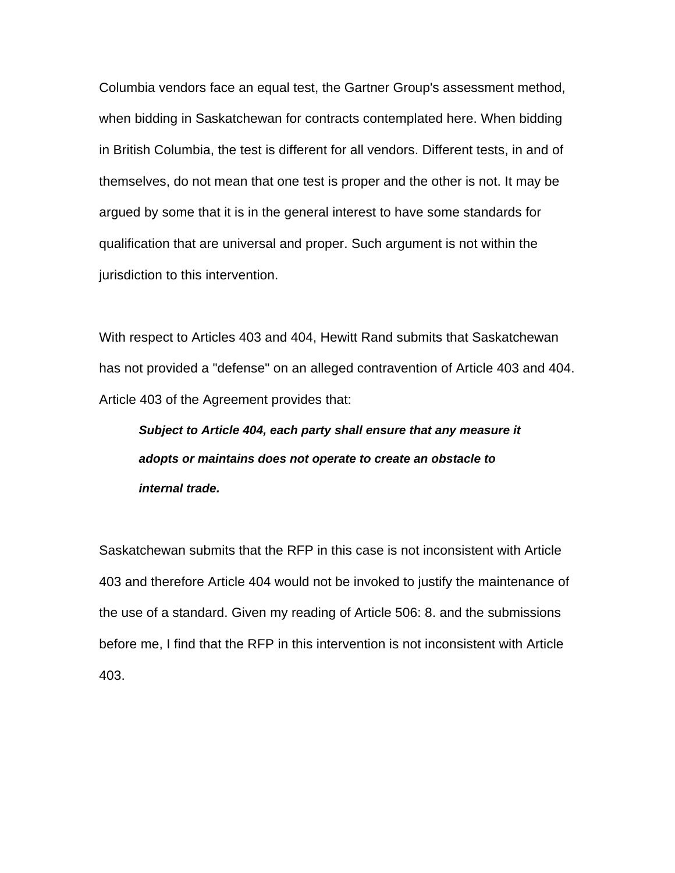Columbia vendors face an equal test, the Gartner Group's assessment method, when bidding in Saskatchewan for contracts contemplated here. When bidding in British Columbia, the test is different for all vendors. Different tests, in and of themselves, do not mean that one test is proper and the other is not. It may be argued by some that it is in the general interest to have some standards for qualification that are universal and proper. Such argument is not within the jurisdiction to this intervention.

With respect to Articles 403 and 404, Hewitt Rand submits that Saskatchewan has not provided a "defense" on an alleged contravention of Article 403 and 404. Article 403 of the Agreement provides that:

# *Subject to Article 404, each party shall ensure that any measure it adopts or maintains does not operate to create an obstacle to internal trade.*

Saskatchewan submits that the RFP in this case is not inconsistent with Article 403 and therefore Article 404 would not be invoked to justify the maintenance of the use of a standard. Given my reading of Article 506: 8. and the submissions before me, I find that the RFP in this intervention is not inconsistent with Article 403.